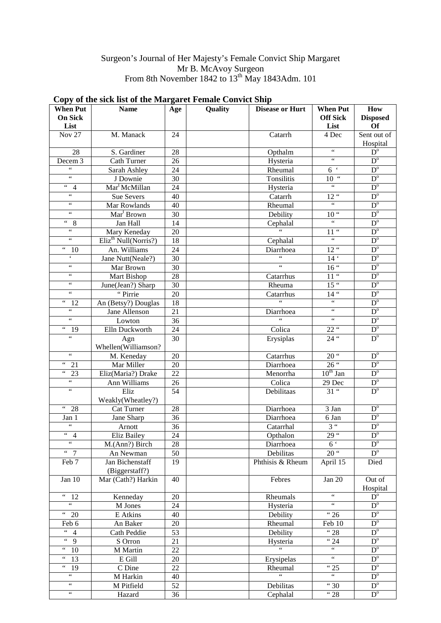## Surgeon's Journal of Her Majesty's Female Convict Ship Margaret Mr B. McAvoy Surgeon From 8th November 1842 to  $13<sup>th</sup>$  May 1843Adm. 101

#### **When Put On Sick List**<br>Nov 27 **Name Age Quality Disease or Hurt When Put Off Sick List How Disposed Of**  Nov 27 | M. Manack | 24 | Catarrh | 4 Dec Sent out of Hospital 28 S. Gardiner 28 Opthalm " D<sup>o</sup> Decem 3 Cath Turner 26 Hysteria " D<sup>o</sup> " Sarah Ashley 24 Rheumal 6 D<sup>o</sup> " J Downie 30 Tonsilitis 10 " D<sup>o</sup> " 4 Mar<sup>t</sup>McMillan 24 Hysteria " D<sup>o</sup> " Sue Severs 40 Catarrh 12 " D<sup>o</sup> " | Mar Rowlands | 40 | Rheumal | " | D<sup>o</sup> " Mar<sup>t</sup> Brown Brown 30 Debility 10 " D<sup>o</sup> " 8 Jan Hall 14 Cephalal " D<sup>o</sup>  $\frac{a}{a}$  Mary Keneday 20  $\frac{a}{a}$  11"  $D^{\circ}$ " Eliz<sup>th</sup> Null(Norris?) 18 Cephalal " D<sup>o</sup> " 10 An. Williams 24 Diarrhoea 12 " D<sup>o</sup><br>" Jane Nutt(Neale?) 30 " 14 D<sup>o</sup>  $\frac{14}{14}$  Jane Nutt(Neale?) 30  $\frac{30}{14}$   $\frac{14}{16}$   $\frac{12}{16}$ " Mar Brown 30 "  $16$ "  $D^{\circ}$ " Mart Bishop 28 Catarrhus 11" D<sup>o</sup><br>" June(Jean?) Sharp 30 Rheuma 15" D<sup>o</sup> " June(Jean?) Sharp 30 Rheuma 15 " D<sup>o</sup><br>"Pirrie 20 Catarrhus 14 " D<sup>o</sup> " Pirrie 20 Catarrhus 14 " D<sup>o</sup> "  $12$  An (Betsy?) Douglas  $18$  " "  $P^{\circ}$ "  $P^{\circ}$ " Jane Allenson 21 Diarrhoea " D<sup>o</sup><br>" Lowton 36 " " D<sup>o</sup> " Lowton 36 " " D<sup>o</sup> " Lowton 36 Colica " D<sup>o</sup><br>" 19 Elln Duckworth 24 Colica 22 " D<sup>o</sup> Agn Whellen(Williamson? 30 Erysiplas 24 " D<sup>o</sup> metric M. Keneday 20 Catarrhus 20 Catarrhus 20 D<sup>o</sup> D<sup>o</sup> D<sup>o</sup> D<sup>o</sup> D<sup>o</sup> Diarrhoea 26 D<sup>o</sup> D<sup>o</sup> Do " 21 Mar Miller 20 Diarrhoea 26 " D<sup>o</sup> " 23 Eliz(Maria?) Drake 22 Menorrha 10<sup>th</sup> Jan D<sup>o</sup>  $\frac{u}{u}$  Ann Williams 26 Colica 29 Dec D<sup>o</sup> Eliz. Weakly(Wheatley?) 54 Debilitaas 31 " D<sup>o</sup> " 28 Cat Turner 28 Diarrhoea 3 Jan D<sup>o</sup> Jan 1 Jane Sharp 36 Diarrhoea 6 Jan D<sup>o</sup> " Arnott 36 Catarrhal 3 " D<sup>o</sup> " 4 Eliz Bailey  $24$  | Opthalon  $29$ " | D<sup>o</sup> " M.(Ann?) Birch 28 Diarrhoea 6 D<sup>o</sup> " 7 | An Newman | 50 | Debilitas | 20" | D<sup>o</sup> Feb 7 Jan Bichenstaff (Biggerstaff?) 19 | Phthisis & Rheum | April 15 | Died Jan 10 | Mar (Cath?) Harkin | 40 | Febres | Jan 20 | Out of Hospital " 12 Kenneday 20 Rheumals " D<sup>o</sup> " M Jones 24 Hysteria " D<sup>o</sup> " 20 E Atkins 40 Debility "26 D<sup>o</sup> Feb 6 An Baker 20 Rheumal Feb 10 D<sup>o</sup> " 4 Cath Peddie 53 Debility " 28 D<sup>o</sup> " 9 S Orron 21 Hysteria " 24 D<sup>o</sup> " 10 M Martin 22 " " " D<sup>o</sup>

" 13 E Gill 20 Erysipelas " D<sup>o</sup> " 19 | CDine | 22 | Rheumal | "25 | D

" MHarkin 40 " " D<sup>o</sup> " | M Pitfield | 52 | Debilitas | "30 | D<sup>o</sup> " | Hazard | 36 | Cephalal | "28 | D<sup>o</sup>

 $D^{\circ}$ 

# **Copy of the sick list of the Margaret Female Convict Ship**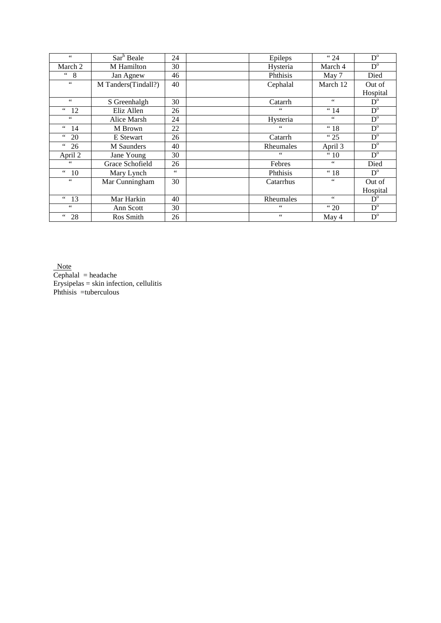| $\zeta\,\zeta$             | Sar <sup>h</sup> Beale | 24 | Epileps        | "24                  | $D^{\mathrm{o}}$          |
|----------------------------|------------------------|----|----------------|----------------------|---------------------------|
| March 2                    | M Hamilton             | 30 | Hysteria       | March 4              | $D^{\circ}$               |
| " 8                        | Jan Agnew              | 46 | Phthisis       | May 7                | Died                      |
| $\zeta$ $\zeta$            | M Tanders(Tindall?)    | 40 | Cephalal       | March 12             | Out of                    |
|                            |                        |    |                |                      | Hospital                  |
| $\zeta\,\zeta$             | S Greenhalgh           | 30 | Catarrh        | $\zeta\,\zeta$       | $\mathbf{D}^{\mathrm{o}}$ |
| $66\,$<br><sup>12</sup>    | Eliz Allen             | 26 | $\zeta\,\zeta$ | " 14                 | $D^{\mathrm{o}}$          |
| $66\,$                     | Alice Marsh            | 24 | Hysteria       | $66$                 | $D^{\circ}$               |
| $\epsilon\,\epsilon$<br>14 | M Brown                | 22 | $\leq$ $\leq$  | "18                  | $D^{\mathrm{o}}$          |
| 66<br>20                   | E Stewart              | 26 | Catarrh        | "25                  | $D^{\circ}$               |
| 66<br>26                   | <b>M</b> Saunders      | 40 | Rheumales      | April 3              | $D^{\mathrm{o}}$          |
| April 2                    | Jane Young             | 30 | $66$           | " 10                 | $D^{\mathrm{o}}$          |
| $\zeta$ $\zeta$            | Grace Schofield        | 26 | Febres         | $\epsilon\,\epsilon$ | Died                      |
| $\degree$ 10               | Mary Lynch             | 66 | Phthisis       | "18                  | $D^{\circ}$               |
| $\zeta$ $\zeta$            | Mar Cunningham         | 30 | Catarrhus      | $66$                 | Out of                    |
|                            |                        |    |                |                      | Hospital                  |
| " 13                       | Mar Harkin             | 40 | Rheumales      | $66\,$               | $D^{\circ}$               |
| $\epsilon$ $\epsilon$      | Ann Scott              | 30 | 66             | " 20                 | $D^{\circ}$               |
| 66<br>28                   | Ros Smith              | 26 | $66$           | May 4                | $D^{\mathrm{o}}$          |

**Note** 

 $Cephala1 = headache$ Erysipelas = skin infection, cellulitis Phthisis =tuberculous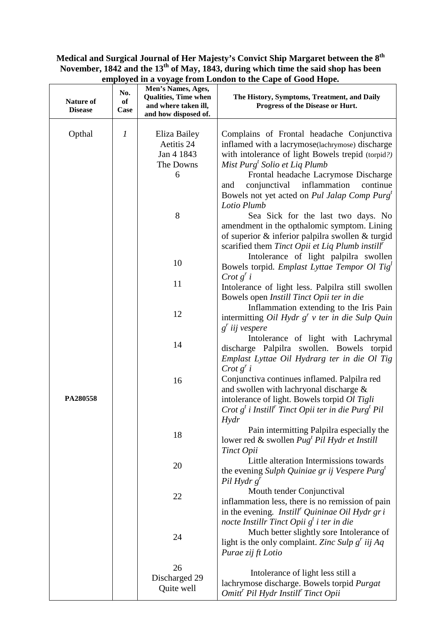# **Medical and Surgical Journal of Her Majesty's Convict Ship Margaret between the 8th November, 1842 and the 13th of May, 1843, during which time the said shop has been employed in a voyage from London to the Cape of Good Hope.**

| <b>Nature of</b><br><b>Disease</b> | No.<br>of<br>Case | Men's Names, Ages,<br><b>Qualities, Time when</b><br>and where taken ill,<br>and how disposed of. | The History, Symptoms, Treatment, and Daily<br>Progress of the Disease or Hurt.                                                                                                                                                                                                                                                                                      |
|------------------------------------|-------------------|---------------------------------------------------------------------------------------------------|----------------------------------------------------------------------------------------------------------------------------------------------------------------------------------------------------------------------------------------------------------------------------------------------------------------------------------------------------------------------|
| Opthal                             | $\boldsymbol{l}$  | Eliza Bailey<br>Aetitis 24<br>Jan 4 1843<br>The Downs<br>6                                        | Complains of Frontal headache Conjunctiva<br>inflamed with a lacrymose(lachrymose) discharge<br>with intolerance of light Bowels trepid (torpid?)<br>Mist Purg <sup>t</sup> Solio et Liq Plumb<br>Frontal headache Lacrymose Discharge<br>inflammation<br>conjunctival<br>continue<br>and<br>Bowels not yet acted on Pul Jalap Comp Purg <sup>t</sup><br>Lotio Plumb |
|                                    |                   | 8                                                                                                 | Sea Sick for the last two days. No<br>amendment in the opthalomic symptom. Lining<br>of superior & inferior palpilra swollen & turgid<br>scarified them Tinct Opii et Liq Plumb instill <sup>r</sup>                                                                                                                                                                 |
|                                    |                   | 10                                                                                                | Intolerance of light palpilra swollen<br>Bowels torpid. <i>Emplast Lyttae Tempor Ol Tig</i> <sup><math>\ell</math></sup>                                                                                                                                                                                                                                             |
|                                    |                   | 11                                                                                                | Crot g' i<br>Intolerance of light less. Palpilra still swollen<br>Bowels open Instill Tinct Opii ter in die                                                                                                                                                                                                                                                          |
|                                    |                   | 12                                                                                                | Inflammation extending to the Iris Pain<br>intermitting Oil Hydr $g^r$ v ter in die Sulp Quin<br>$g'$ iij vespere                                                                                                                                                                                                                                                    |
|                                    |                   | 14                                                                                                | Intolerance of light with Lachrymal<br>discharge Palpilra swollen. Bowels torpid<br>Emplast Lyttae Oil Hydrarg ter in die Ol Tig<br>Crot g' i                                                                                                                                                                                                                        |
| PA280558                           |                   | 16                                                                                                | Conjunctiva continues inflamed. Palpilra red<br>and swollen with lachryonal discharge &<br>intolerance of light. Bowels torpid Ol Tigli<br>Crot $g^t$ i Instill <sup>r</sup> Tinct Opii ter in die Purg <sup>t</sup> Pil<br>Hydr                                                                                                                                     |
|                                    |                   | 18                                                                                                | Pain intermitting Palpilra especially the<br>lower red & swollen $Pugt Pil Hydr$ et Instill<br>Tinct Opii                                                                                                                                                                                                                                                            |
|                                    |                   | 20                                                                                                | Little alteration Intermissions towards<br>the evening Sulph Quiniae gr ij Vespere Purg <sup>t</sup><br>Pil Hydr $g'$                                                                                                                                                                                                                                                |
|                                    |                   | 22                                                                                                | Mouth tender Conjunctival<br>inflammation less, there is no remission of pain<br>in the evening. <i>Instill<sup>r</sup> Quininae Oil Hydr gri</i>                                                                                                                                                                                                                    |
|                                    |                   | 24                                                                                                | nocte Instillr Tinct Opii g <sup>t</sup> i ter in die<br>Much better slightly sore Intolerance of<br>light is the only complaint. Zinc Sulp $g'$ iij Aq<br>Purae zij ft Lotio                                                                                                                                                                                        |
|                                    |                   | 26<br>Discharged 29<br>Quite well                                                                 | Intolerance of light less still a<br>lachrymose discharge. Bowels torpid Purgat<br>Omitt <sup>r</sup> Pil Hydr Instill <sup>r</sup> Tinct Opii                                                                                                                                                                                                                       |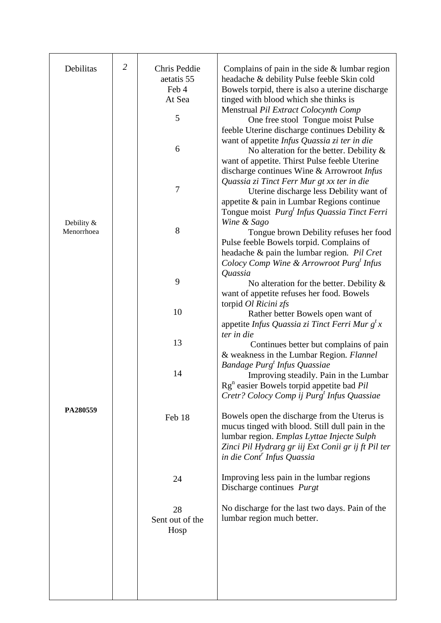| Debilitas                | $\overline{2}$ | Chris Peddie<br>aetatis 55<br>Feb 4 | Complains of pain in the side $&$ lumbar region<br>headache & debility Pulse feeble Skin cold<br>Bowels torpid, there is also a uterine discharge                                                                                                                  |
|--------------------------|----------------|-------------------------------------|--------------------------------------------------------------------------------------------------------------------------------------------------------------------------------------------------------------------------------------------------------------------|
|                          |                | At Sea                              | tinged with blood which she thinks is                                                                                                                                                                                                                              |
|                          |                | 5                                   | Menstrual Pil Extract Colocynth Comp<br>One free stool Tongue moist Pulse                                                                                                                                                                                          |
|                          |                | 6                                   | feeble Uterine discharge continues Debility &<br>want of appetite Infus Quassia zi ter in die<br>No alteration for the better. Debility $\&$<br>want of appetite. Thirst Pulse feeble Uterine                                                                      |
|                          |                | $\boldsymbol{7}$                    | discharge continues Wine & Arrowroot Infus<br>Quassia zi Tinct Ferr Mur gt xx ter in die<br>Uterine discharge less Debility want of<br>appetite & pain in Lumbar Regions continue<br>Tongue moist <i>Purg<sup>t</sup> Infus Quassia Tinct Ferri</i><br>Wine & Sago |
| Debility &<br>Menorrhoea |                | 8                                   | Tongue brown Debility refuses her food                                                                                                                                                                                                                             |
|                          |                |                                     | Pulse feeble Bowels torpid. Complains of<br>headache & pain the lumbar region. Pil Cret<br>Colocy Comp Wine & Arrowroot Purg <sup>t</sup> Infus<br>Quassia                                                                                                         |
|                          |                | 9                                   | No alteration for the better. Debility $\&$<br>want of appetite refuses her food. Bowels                                                                                                                                                                           |
|                          |                | 10                                  | torpid Ol Ricini zfs<br>Rather better Bowels open want of<br>appetite Infus Quassia zi Tinct Ferri Mur $g^t x$                                                                                                                                                     |
|                          |                | 13                                  | ter in die<br>Continues better but complains of pain                                                                                                                                                                                                               |
|                          |                | 14                                  | & weakness in the Lumbar Region. Flannel<br>Bandage Purg <sup>t</sup> Infus Quassiae<br>Improving steadily. Pain in the Lumbar<br>$\text{Rg}^n$ easier Bowels torpid appetite bad <i>Pil</i><br>Cretr? Colocy Comp ij Purg <sup>t</sup> Infus Quassiae             |
| PA280559                 |                | Feb 18                              | Bowels open the discharge from the Uterus is<br>mucus tinged with blood. Still dull pain in the<br>lumbar region. Emplas Lyttae Injecte Sulph<br>Zinci Pil Hydrarg gr iij Ext Conii gr ij ft Pil ter<br>in die Cont <sup>r</sup> Infus Quassia                     |
|                          |                | 24                                  | Improving less pain in the lumbar regions<br>Discharge continues <i>Purgt</i>                                                                                                                                                                                      |
|                          |                | 28<br>Sent out of the<br>Hosp       | No discharge for the last two days. Pain of the<br>lumbar region much better.                                                                                                                                                                                      |
|                          |                |                                     |                                                                                                                                                                                                                                                                    |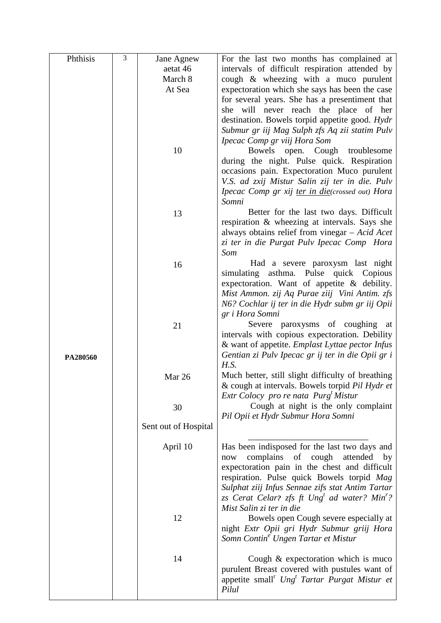| Phthisis | 3 | Jane Agnew           | For the last two months has complained at                                                                             |
|----------|---|----------------------|-----------------------------------------------------------------------------------------------------------------------|
|          |   | aetat 46             | intervals of difficult respiration attended by                                                                        |
|          |   | March 8              | cough & wheezing with a muco purulent                                                                                 |
|          |   | At Sea               | expectoration which she says has been the case                                                                        |
|          |   |                      | for several years. She has a presentiment that                                                                        |
|          |   |                      | she will never reach the place of her                                                                                 |
|          |   |                      | destination. Bowels torpid appetite good. Hydr                                                                        |
|          |   |                      | Submur gr iij Mag Sulph zfs Aq zii statim Pulv                                                                        |
|          |   |                      | Ipecac Comp gr viij Hora Som                                                                                          |
|          |   | 10                   | Bowels open. Cough troublesome                                                                                        |
|          |   |                      | during the night. Pulse quick. Respiration                                                                            |
|          |   |                      | occasions pain. Expectoration Muco purulent<br>V.S. ad zxij Mistur Salin zij ter in die. Pulv                         |
|          |   |                      | Ipecac Comp gr xij ter in die(crossed out) Hora                                                                       |
|          |   |                      | Somni                                                                                                                 |
|          |   | 13                   | Better for the last two days. Difficult                                                                               |
|          |   |                      | respiration & wheezing at intervals. Says she                                                                         |
|          |   |                      | always obtains relief from vinegar $-$ Acid Acet                                                                      |
|          |   |                      | zi ter in die Purgat Pulv Ipecac Comp Hora                                                                            |
|          |   |                      | Som                                                                                                                   |
|          |   | 16                   | Had a severe paroxysm last night                                                                                      |
|          |   |                      | simulating asthma. Pulse quick Copious<br>expectoration. Want of appetite $\&$ debility.                              |
|          |   |                      | Mist Ammon. zij Aq Purae ziij Vini Antim. zfs                                                                         |
|          |   |                      | N6? Cochlar ij ter in die Hydr subm gr iij Opii                                                                       |
|          |   |                      | gr i Hora Somni                                                                                                       |
|          |   | 21                   | Severe paroxysms of coughing at                                                                                       |
|          |   |                      | intervals with copious expectoration. Debility                                                                        |
|          |   |                      | & want of appetite. Emplast Lyttae pector Infus                                                                       |
| PA280560 |   |                      | Gentian zi Pulv Ipecac gr ij ter in die Opii gr i                                                                     |
|          |   |                      | H.S.                                                                                                                  |
|          |   | Mar 26               | Much better, still slight difficulty of breathing                                                                     |
|          |   |                      | & cough at intervals. Bowels torpid Pil Hydr et                                                                       |
|          |   |                      | Extr Colocy pro re nata Purg <sup>t</sup> Mistur<br>Cough at night is the only complaint                              |
|          |   | 30                   | Pil Opii et Hydr Submur Hora Somni                                                                                    |
|          |   | Sent out of Hospital |                                                                                                                       |
|          |   |                      |                                                                                                                       |
|          |   | April 10             | Has been indisposed for the last two days and                                                                         |
|          |   |                      | complains<br>of cough<br>attended<br>now<br>by                                                                        |
|          |   |                      | expectoration pain in the chest and difficult                                                                         |
|          |   |                      | respiration. Pulse quick Bowels torpid Mag                                                                            |
|          |   |                      | Sulphat ziij Infus Sennae zifs stat Antim Tartar                                                                      |
|          |   |                      | zs Cerat Celar? zfs ft $Ungt$ ad water? Min'?<br>Mist Salin zi ter in die                                             |
|          |   | 12                   | Bowels open Cough severe especially at                                                                                |
|          |   |                      | night Extr Opii gri Hydr Submur griij Hora                                                                            |
|          |   |                      | Somn Contin <sup>e</sup> Ungen Tartar et Mistur                                                                       |
|          |   |                      |                                                                                                                       |
|          |   | 14                   | Cough $\&$ expectoration which is muco                                                                                |
|          |   |                      | purulent Breast covered with pustules want of<br>appetite small <sup>r</sup> Ung <sup>t</sup> Tartar Purgat Mistur et |
|          |   |                      | Pilul                                                                                                                 |
|          |   |                      |                                                                                                                       |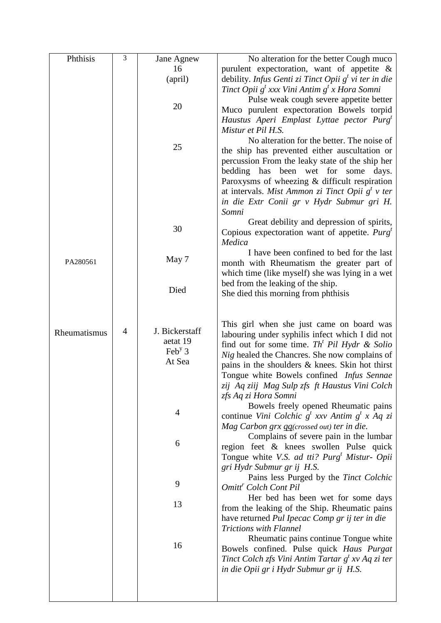| Phthisis     | 3              | Jane Agnew                            | No alteration for the better Cough muco                                                     |
|--------------|----------------|---------------------------------------|---------------------------------------------------------------------------------------------|
|              |                | 16                                    | purulent expectoration, want of appetite &                                                  |
|              |                | (april)                               | debility. Infus Genti zi Tinct Opii $g^t$ vi ter in die                                     |
|              |                |                                       | Tinct Opii $g^t$ xxx Vini Antim $g^t$ x Hora Somni                                          |
|              |                | 20                                    | Pulse weak cough severe appetite better                                                     |
|              |                |                                       | Muco purulent expectoration Bowels torpid                                                   |
|              |                |                                       | Haustus Aperi Emplast Lyttae pector Purg <sup>t</sup><br>Mistur et Pil H.S.                 |
|              |                |                                       | No alteration for the better. The noise of                                                  |
|              |                | 25                                    | the ship has prevented either auscultation or                                               |
|              |                |                                       | percussion From the leaky state of the ship her                                             |
|              |                |                                       | bedding has been wet for some days.                                                         |
|              |                |                                       | Paroxysms of wheezing & difficult respiration                                               |
|              |                |                                       | at intervals. Mist Ammon zi Tinct Opii $g^t$ v ter                                          |
|              |                |                                       | in die Extr Conii gr v Hydr Submur gri H.                                                   |
|              |                |                                       | Somni<br>Great debility and depression of spirits,                                          |
|              |                | 30                                    | Copious expectoration want of appetite. $Purgt$                                             |
|              |                |                                       | Medica                                                                                      |
|              |                |                                       | I have been confined to bed for the last                                                    |
| PA280561     |                | May 7                                 | month with Rheumatism the greater part of                                                   |
|              |                |                                       | which time (like myself) she was lying in a wet                                             |
|              |                | Died                                  | bed from the leaking of the ship.                                                           |
|              |                |                                       | She died this morning from phthisis                                                         |
|              |                |                                       |                                                                                             |
|              |                |                                       | This girl when she just came on board was                                                   |
| Rheumatismus | $\overline{4}$ | J. Bickerstaff                        | labouring under syphilis infect which I did not                                             |
|              |                | aetat 19<br>$\text{Feb}^{\text{y}}$ 3 | find out for some time. Th <sup>t</sup> Pil Hydr & Solio                                    |
|              |                | At Sea                                | Nig healed the Chancres. She now complains of                                               |
|              |                |                                       | pains in the shoulders & knees. Skin hot thirst                                             |
|              |                |                                       | Tongue white Bowels confined Infus Sennae<br>zij Aq ziij Mag Sulp zfs ft Haustus Vini Colch |
|              |                |                                       | zfs Aq zi Hora Somni                                                                        |
|              |                |                                       | Bowels freely opened Rheumatic pains                                                        |
|              |                | 4                                     | continue Vini Colchic $g^t$ xxv Antim $g^t$ x Aq zi                                         |
|              |                |                                       | Mag Carbon grx qq(crossed out) ter in die.                                                  |
|              |                | 6                                     | Complains of severe pain in the lumbar                                                      |
|              |                |                                       | region feet & knees swollen Pulse quick                                                     |
|              |                |                                       | Tongue white V.S. ad tti? Purg <sup>t</sup> Mistur- Opii<br>gri Hydr Submur gr ij H.S.      |
|              |                |                                       | Pains less Purged by the Tinct Colchic                                                      |
|              |                | 9                                     | Omitt <sup>r</sup> Colch Cont Pil                                                           |
|              |                |                                       | Her bed has been wet for some days                                                          |
|              |                | 13                                    | from the leaking of the Ship. Rheumatic pains                                               |
|              |                |                                       | have returned Pul Ipecac Comp gr ij ter in die                                              |
|              |                |                                       | <b>Trictions with Flannel</b><br>Rheumatic pains continue Tongue white                      |
|              |                | 16                                    | Bowels confined. Pulse quick Haus Purgat                                                    |
|              |                |                                       | Tinct Colch zfs Vini Antim Tartar $g^t$ xv Aq zi ter                                        |
|              |                |                                       | in die Opii gr i Hydr Submur gr ij H.S.                                                     |
|              |                |                                       |                                                                                             |
|              |                |                                       |                                                                                             |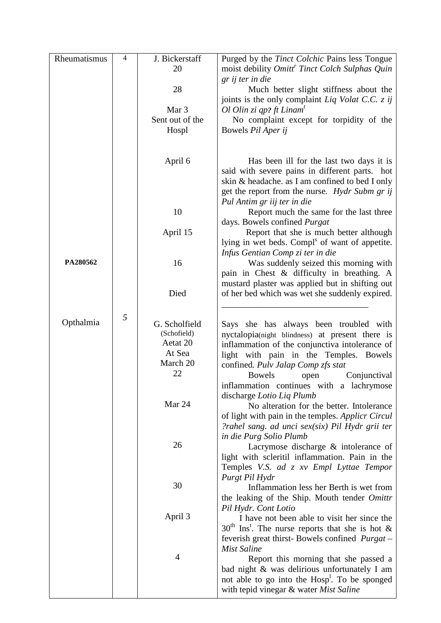| Rheumatismus | 4 | J. Bickerstaff          | Purged by the <i>Tinct Colchic</i> Pains less Tongue                                       |
|--------------|---|-------------------------|--------------------------------------------------------------------------------------------|
|              |   | 20                      | moist debility Omitt <sup>r</sup> Tinct Colch Sulphas Quin                                 |
|              |   |                         | gr ij ter in die                                                                           |
|              |   | 28                      | Much better slight stiffness about the                                                     |
|              |   |                         | joints is the only complaint Liq Volat C.C. z ij                                           |
|              |   | Mar 3                   | Ol Olin zi qp? ft Linam <sup>t</sup>                                                       |
|              |   | Sent out of the         | No complaint except for torpidity of the                                                   |
|              |   | Hospl                   | Bowels Pil Aper ij                                                                         |
|              |   |                         |                                                                                            |
|              |   |                         |                                                                                            |
|              |   | April 6                 | Has been ill for the last two days it is<br>said with severe pains in different parts. hot |
|              |   |                         | skin & headache. as I am confined to bed I only                                            |
|              |   |                         | get the report from the nurse. <i>Hydr Subm gr ij</i>                                      |
|              |   |                         | Pul Antim gr iij ter in die                                                                |
|              |   | 10                      | Report much the same for the last three                                                    |
|              |   |                         | days. Bowels confined Purgat                                                               |
|              |   | April 15                | Report that she is much better although                                                    |
|              |   |                         | lying in wet beds. Compl <sup>s</sup> of want of appetite.                                 |
|              |   |                         | Infus Gentian Comp zi ter in die                                                           |
| PA280562     |   | 16                      | Was suddenly seized this morning with                                                      |
|              |   |                         | pain in Chest & difficulty in breathing. A                                                 |
|              |   |                         | mustard plaster was applied but in shifting out                                            |
|              |   | Died                    | of her bed which was wet she suddenly expired.                                             |
|              |   |                         |                                                                                            |
|              | 5 |                         |                                                                                            |
| Opthalmia    |   | G. Scholfield           | Says she has always been troubled with                                                     |
|              |   | (Schofield)<br>Aetat 20 | nyctalopia(night blindness) at present there is                                            |
|              |   | At Sea                  | inflammation of the conjunctiva intolerance of                                             |
|              |   | March 20                | light with pain in the Temples. Bowels                                                     |
|              |   | 22                      | confined. Pulv Jalap Comp zfs stat                                                         |
|              |   |                         | Bowels<br>Conjunctival<br>open<br>inflammation continues with a lachrymose                 |
|              |   |                         | discharge Lotio Liq Plumb                                                                  |
|              |   | Mar 24                  | No alteration for the better. Intolerance                                                  |
|              |   |                         | of light with pain in the temples. Applicr Circul                                          |
|              |   |                         | ?rahel sang. ad unci sex(six) Pil Hydr grii ter                                            |
|              |   |                         | in die Purg Solio Plumb                                                                    |
|              |   | 26                      | Lacrymose discharge $\&$ intolerance of                                                    |
|              |   |                         | light with scleritil inflammation. Pain in the                                             |
|              |   |                         | Temples V.S. ad z xv Empl Lyttae Tempor                                                    |
|              |   |                         | Purgt Pil Hydr                                                                             |
|              |   | 30                      | Inflammation less her Berth is wet from                                                    |
|              |   |                         | the leaking of the Ship. Mouth tender Omittr                                               |
|              |   |                         | Pil Hydr. Cont Lotio                                                                       |
|              |   | April 3                 | I have not been able to visit her since the                                                |
|              |   |                         | $30th$ Ins <sup>t</sup> . The nurse reports that she is hot &                              |
|              |   |                         | feverish great thirst-Bowels confined <i>Purgat</i> –                                      |
|              |   | $\overline{4}$          | <b>Mist Saline</b>                                                                         |
|              |   |                         | Report this morning that she passed a                                                      |
|              |   |                         | bad night & was delirious unfortunately I am                                               |
|              |   |                         | not able to go into the Hosp <sup>1</sup> . To be sponged                                  |
|              |   |                         | with tepid vinegar & water Mist Saline                                                     |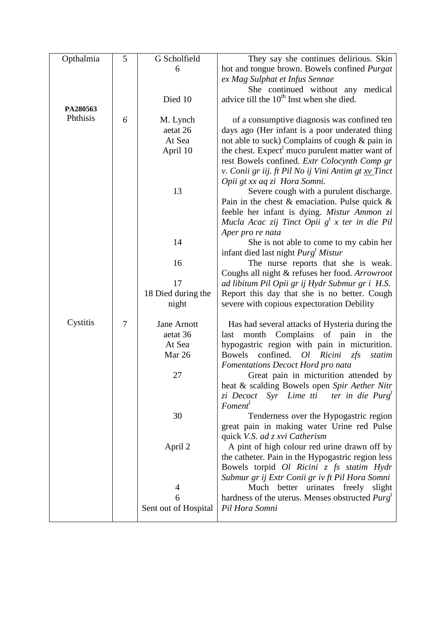| Opthalmia | 5 | G Scholfield         | They say she continues delirious. Skin                      |
|-----------|---|----------------------|-------------------------------------------------------------|
|           |   | 6                    | hot and tongue brown. Bowels confined Purgat                |
|           |   |                      | ex Mag Sulphat et Infus Sennae                              |
|           |   |                      | She continued without any medical                           |
|           |   | Died 10              | advice till the 10 <sup>th</sup> Inst when she died.        |
| PA280563  |   |                      |                                                             |
| Phthisis  | 6 | M. Lynch             | of a consumptive diagnosis was confined ten                 |
|           |   | aetat 26             | days ago (Her infant is a poor underated thing              |
|           |   | At Sea               | not able to suck) Complains of cough & pain in              |
|           |   | April 10             | the chest. Expect <sup>t</sup> muco purulent matter want of |
|           |   |                      | rest Bowels confined. Extr Colocynth Comp gr                |
|           |   |                      | v. Conii gr iij. ft Pil No ij Vini Antim gt xv Tinct        |
|           |   |                      | Opii gt xx aq zi Hora Somni.                                |
|           |   | 13                   | Severe cough with a purulent discharge.                     |
|           |   |                      | Pain in the chest $\&$ emaciation. Pulse quick $\&$         |
|           |   |                      | feeble her infant is dying. Mistur Ammon zi                 |
|           |   |                      | Mucla Acac zij Tinct Opii $g^t$ x ter in die Pil            |
|           |   |                      | Aper pro re nata                                            |
|           |   | 14                   | She is not able to come to my cabin her                     |
|           |   |                      | infant died last night $Purgt Mistur$                       |
|           |   | 16                   | The nurse reports that she is weak.                         |
|           |   |                      | Coughs all night & refuses her food. Arrowroot              |
|           |   | 17                   | ad libitum Pil Opii gr ij Hydr Submur gr i H.S.             |
|           |   | 18 Died during the   | Report this day that she is no better. Cough                |
|           |   | night                | severe with copious expectoration Debility                  |
| Cystitis  | 7 | Jane Arnott          | Has had several attacks of Hysteria during the              |
|           |   | aetat 36             | month Complains of pain in<br>last<br>the                   |
|           |   | At Sea               | hypogastric region with pain in micturition.                |
|           |   | Mar 26               | confined.<br><b>Bowels</b><br>Ricini<br>Ql<br>zfs<br>statim |
|           |   |                      | Fomentations Decoct Hord pro nata                           |
|           |   | 27                   | Great pain in micturition attended by                       |
|           |   |                      | heat & scalding Bowels open Spir Aether Nitr                |
|           |   |                      | Syr Lime tti<br>ter in die Purg <sup>t</sup><br>zi Decoct   |
|           |   |                      | Foment <sup>1</sup>                                         |
|           |   | 30                   | Tenderness over the Hypogastric region                      |
|           |   |                      | great pain in making water Urine red Pulse                  |
|           |   |                      | quick V.S. ad z xvi Catherism                               |
|           |   | April 2              | A pint of high colour red urine drawn off by                |
|           |   |                      | the catheter. Pain in the Hypogastric region less           |
|           |   |                      | Bowels torpid Ol Ricini z fs statim Hydr                    |
|           |   |                      | Submur gr ij Extr Conii gr iv ft Pil Hora Somni             |
|           |   | 4                    | Much better urinates freely<br>slight                       |
|           |   | 6                    | hardness of the uterus. Menses obstructed $Purgt$           |
|           |   | Sent out of Hospital | Pil Hora Somni                                              |
|           |   |                      |                                                             |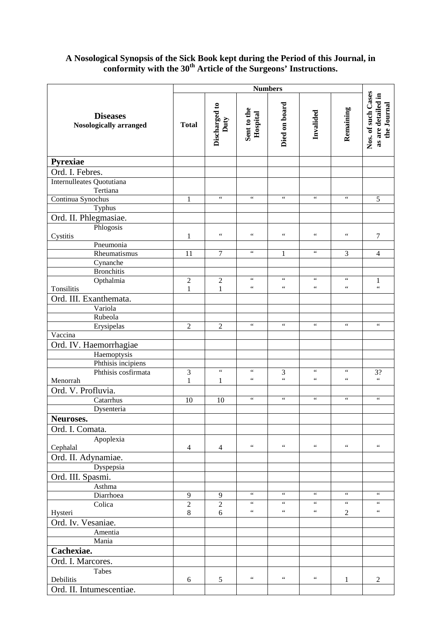# **A Nosological Synopsis of the Sick Book kept during the Period of this Journal, in conformity with the 30th Article of the Surgeons' Instructions.**

|                                           |                | <b>Numbers</b>        |                                            |                                            |                 |                 |                                                         |
|-------------------------------------------|----------------|-----------------------|--------------------------------------------|--------------------------------------------|-----------------|-----------------|---------------------------------------------------------|
| <b>Diseases</b><br>Nosologically arranged | <b>Total</b>   | Discharged to<br>Duty | Sent to the<br>Hospital                    | Died on board                              | Invalided       | Remaining       | Nos. of such Cases<br>as are detailed in<br>the Journal |
| Pyrexiae                                  |                |                       |                                            |                                            |                 |                 |                                                         |
| Ord. I. Febres.                           |                |                       |                                            |                                            |                 |                 |                                                         |
| Internulleates Quotutiana                 |                |                       |                                            |                                            |                 |                 |                                                         |
| Tertiana                                  |                |                       |                                            |                                            |                 |                 |                                                         |
| Continua Synochus                         | 1              | $\zeta\,\zeta$        | $\zeta\,\zeta$                             | $\zeta$ $\zeta$                            | $\zeta$ $\zeta$ | $\zeta$ $\zeta$ | $\sqrt{5}$                                              |
| Typhus                                    |                |                       |                                            |                                            |                 |                 |                                                         |
| Ord. II. Phlegmasiae.                     |                |                       |                                            |                                            |                 |                 |                                                         |
| Phlogosis<br>Cystitis                     | $\mathbf{1}$   | $\zeta\,\zeta$        | $\zeta\,\zeta$                             | $\zeta$ $\zeta$                            | $\zeta$ $\zeta$ | $\zeta$ $\zeta$ | $\boldsymbol{7}$                                        |
| Pneumonia                                 |                |                       |                                            |                                            |                 |                 |                                                         |
| Rheumatismus                              | 11             | $\tau$                | $\zeta\,\zeta$                             | $\mathbf{1}$                               | $\zeta$ $\zeta$ | 3               | $\overline{4}$                                          |
| Cynanche                                  |                |                       |                                            |                                            |                 |                 |                                                         |
| <b>Bronchitis</b>                         |                |                       |                                            |                                            |                 |                 |                                                         |
| Opthalmia                                 | $\overline{2}$ | $\sqrt{2}$            | $\zeta$ $\zeta$                            | $\zeta$ $\zeta$                            | $\zeta$ $\zeta$ | $\zeta$ $\zeta$ | 1                                                       |
| Tonsilitis                                | $\mathbf{1}$   | $\mathbf{1}$          | $\zeta\,\zeta$                             | $\zeta\,\zeta$                             | $\zeta\,\zeta$  | $\zeta\,\zeta$  | $\zeta$ $\zeta$                                         |
| Ord. III. Exanthemata.                    |                |                       |                                            |                                            |                 |                 |                                                         |
| Variola                                   |                |                       |                                            |                                            |                 |                 |                                                         |
| Rubeola<br>Erysipelas                     | $\overline{2}$ | $\overline{2}$        | $\zeta\,\zeta$                             | $\zeta\,\zeta$                             | $\zeta$ $\zeta$ | $\zeta\,\zeta$  | $\zeta\,\zeta$                                          |
| Vaccina                                   |                |                       |                                            |                                            |                 |                 |                                                         |
| Ord. IV. Haemorrhagiae                    |                |                       |                                            |                                            |                 |                 |                                                         |
| Haemoptysis                               |                |                       |                                            |                                            |                 |                 |                                                         |
| Phthisis incipiens                        |                |                       |                                            |                                            |                 |                 |                                                         |
| Phthisis cosfirmata                       | 3              | $\zeta\,\zeta$        | $\zeta\,\zeta$                             | 3                                          | $\zeta$ $\zeta$ | $\,$ 6 $\,$     | 3?                                                      |
| Menorrah                                  | 1              | $\mathbf{1}$          | $\zeta$ $\zeta$                            | $\zeta\,\zeta$                             | $\zeta$ $\zeta$ | $\zeta$ $\zeta$ | $\zeta\,\zeta$                                          |
| Ord. V. Profluvia.                        |                |                       |                                            |                                            |                 |                 |                                                         |
| Catarrhus                                 | 10             | 10                    | $\boldsymbol{\zeta} \, \boldsymbol{\zeta}$ | $\zeta$ $\zeta$                            | $\zeta\,\zeta$  | $\zeta\,\zeta$  | $\zeta\,\zeta$                                          |
| Dysenteria                                |                |                       |                                            |                                            |                 |                 |                                                         |
| Neuroses.                                 |                |                       |                                            |                                            |                 |                 |                                                         |
| Ord. I. Comata.                           |                |                       |                                            |                                            |                 |                 |                                                         |
| Apoplexia                                 |                |                       | $\epsilon$ $\epsilon$                      | $\,6\,6\,$                                 | $\,$ 6 $\,$     | $\zeta$ $\zeta$ | $\zeta$ $\zeta$                                         |
| Cephalal                                  | $\overline{4}$ | 4                     |                                            |                                            |                 |                 |                                                         |
| Ord. II. Adynamiae.<br>Dyspepsia          |                |                       |                                            |                                            |                 |                 |                                                         |
| Ord. III. Spasmi.                         |                |                       |                                            |                                            |                 |                 |                                                         |
| Asthma                                    |                |                       |                                            |                                            |                 |                 |                                                         |
| Diarrhoea                                 | 9              | 9                     | $\zeta\,\zeta$                             | $\epsilon\,\epsilon$                       | $\zeta$ $\zeta$ | $\zeta$ $\zeta$ | $\zeta$ $\zeta$                                         |
| Colica                                    | $\overline{2}$ | $\overline{2}$        | $\zeta\,\zeta$                             | $\zeta\,\zeta$                             | $\zeta$ $\zeta$ | $\zeta\,\zeta$  | $\zeta$ $\zeta$                                         |
| Hysteri                                   | 8              | 6                     | $\zeta\,\zeta$                             | $\boldsymbol{\zeta} \, \boldsymbol{\zeta}$ | $\zeta$ $\zeta$ | 2               | $\zeta\,\zeta$                                          |
| Ord. Iv. Vesaniae.                        |                |                       |                                            |                                            |                 |                 |                                                         |
| Amentia                                   |                |                       |                                            |                                            |                 |                 |                                                         |
| Mania                                     |                |                       |                                            |                                            |                 |                 |                                                         |
| Cachexiae.                                |                |                       |                                            |                                            |                 |                 |                                                         |
| Ord. I. Marcores.                         |                |                       |                                            |                                            |                 |                 |                                                         |
| <b>Tabes</b>                              |                |                       |                                            |                                            |                 |                 |                                                         |
| Debilitis                                 | 6              | 5                     | $\zeta$ $\zeta$                            | $\zeta\,\zeta$                             | $\zeta$ $\zeta$ | 1               | $\overline{2}$                                          |
| Ord. II. Intumescentiae.                  |                |                       |                                            |                                            |                 |                 |                                                         |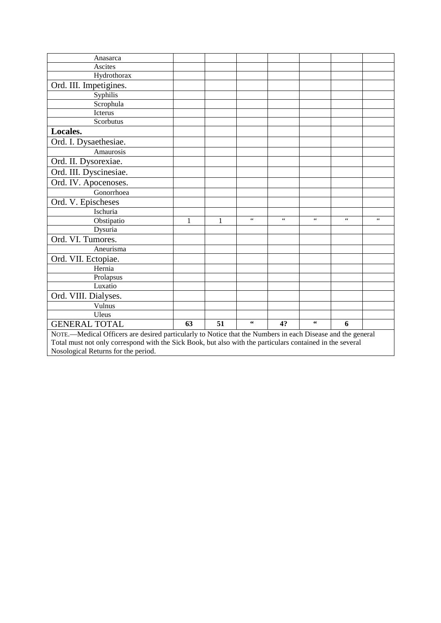| Anasarca                                                                                                   |    |    |                |                |                |                 |                 |
|------------------------------------------------------------------------------------------------------------|----|----|----------------|----------------|----------------|-----------------|-----------------|
| Ascites                                                                                                    |    |    |                |                |                |                 |                 |
| Hydrothorax                                                                                                |    |    |                |                |                |                 |                 |
| Ord. III. Impetigines.                                                                                     |    |    |                |                |                |                 |                 |
| Syphilis                                                                                                   |    |    |                |                |                |                 |                 |
| Scrophula                                                                                                  |    |    |                |                |                |                 |                 |
| Icterus                                                                                                    |    |    |                |                |                |                 |                 |
| Scorbutus                                                                                                  |    |    |                |                |                |                 |                 |
| Locales.                                                                                                   |    |    |                |                |                |                 |                 |
| Ord. I. Dysaethesiae.                                                                                      |    |    |                |                |                |                 |                 |
| Amaurosis                                                                                                  |    |    |                |                |                |                 |                 |
| Ord. II. Dysorexiae.                                                                                       |    |    |                |                |                |                 |                 |
| Ord. III. Dyscinesiae.                                                                                     |    |    |                |                |                |                 |                 |
| Ord. IV. Apocenoses.                                                                                       |    |    |                |                |                |                 |                 |
| Gonorrhoea                                                                                                 |    |    |                |                |                |                 |                 |
| Ord. V. Epischeses                                                                                         |    |    |                |                |                |                 |                 |
| Ischuria                                                                                                   |    |    |                |                |                |                 |                 |
| Obstipatio                                                                                                 | 1  | 1  | $\zeta\,\zeta$ | $\zeta\,\zeta$ | $\zeta\,\zeta$ | $\zeta$ $\zeta$ | $\zeta$ $\zeta$ |
| Dysuria                                                                                                    |    |    |                |                |                |                 |                 |
| Ord. VI. Tumores.                                                                                          |    |    |                |                |                |                 |                 |
| Aneurisma                                                                                                  |    |    |                |                |                |                 |                 |
| Ord. VII. Ectopiae.                                                                                        |    |    |                |                |                |                 |                 |
| Hernia                                                                                                     |    |    |                |                |                |                 |                 |
| Prolapsus                                                                                                  |    |    |                |                |                |                 |                 |
| Luxatio                                                                                                    |    |    |                |                |                |                 |                 |
| Ord. VIII. Dialyses.                                                                                       |    |    |                |                |                |                 |                 |
| Vulnus                                                                                                     |    |    |                |                |                |                 |                 |
| Uleus                                                                                                      |    |    |                |                |                |                 |                 |
| <b>GENERAL TOTAL</b>                                                                                       | 63 | 51 | 66             | 4?             | $\zeta \zeta$  | 6               |                 |
| NOTE.—Medical Officers are desired particularly to Notice that the Numbers in each Disease and the general |    |    |                |                |                |                 |                 |
| Total must not only correspond with the Sick Book, but also with the particulars contained in the several  |    |    |                |                |                |                 |                 |
| Nosological Returns for the period.                                                                        |    |    |                |                |                |                 |                 |